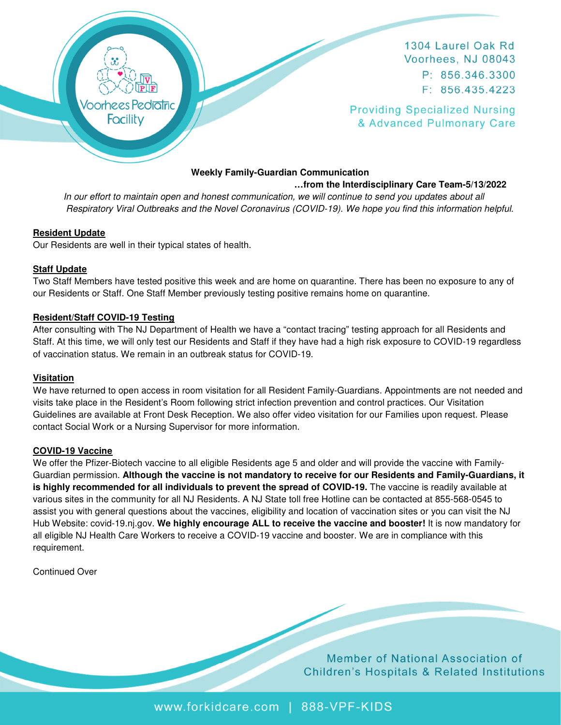

1304 Laurel Oak Rd Voorhees, NJ 08043 P: 856.346.3300  $F: 856.435.4223$ 

**Providing Specialized Nursing** & Advanced Pulmonary Care

### **Weekly Family-Guardian Communication**

 **…from the Interdisciplinary Care Team-5/13/2022** 

 In our effort to maintain open and honest communication, we will continue to send you updates about all Respiratory Viral Outbreaks and the Novel Coronavirus (COVID-19). We hope you find this information helpful.

### **Resident Update**

Our Residents are well in their typical states of health.

### **Staff Update**

Two Staff Members have tested positive this week and are home on quarantine. There has been no exposure to any of our Residents or Staff. One Staff Member previously testing positive remains home on quarantine.

#### **Resident/Staff COVID-19 Testing**

After consulting with The NJ Department of Health we have a "contact tracing" testing approach for all Residents and Staff. At this time, we will only test our Residents and Staff if they have had a high risk exposure to COVID-19 regardless of vaccination status. We remain in an outbreak status for COVID-19.

#### **Visitation**

We have returned to open access in room visitation for all Resident Family-Guardians. Appointments are not needed and visits take place in the Resident's Room following strict infection prevention and control practices. Our Visitation Guidelines are available at Front Desk Reception. We also offer video visitation for our Families upon request. Please contact Social Work or a Nursing Supervisor for more information.

### **COVID-19 Vaccine**

We offer the Pfizer-Biotech vaccine to all eligible Residents age 5 and older and will provide the vaccine with Family-Guardian permission. **Although the vaccine is not mandatory to receive for our Residents and Family-Guardians, it**  is highly recommended for all individuals to prevent the spread of COVID-19. The vaccine is readily available at various sites in the community for all NJ Residents. A NJ State toll free Hotline can be contacted at 855-568-0545 to assist you with general questions about the vaccines, eligibility and location of vaccination sites or you can visit the NJ Hub Website: covid-19.nj.gov. **We highly encourage ALL to receive the vaccine and booster!** It is now mandatory for all eligible NJ Health Care Workers to receive a COVID-19 vaccine and booster. We are in compliance with this requirement.

Continued Over

Member of National Association of **Children's Hospitals & Related Institutions** 

www.forkidcare.com | 888-VPF-KIDS